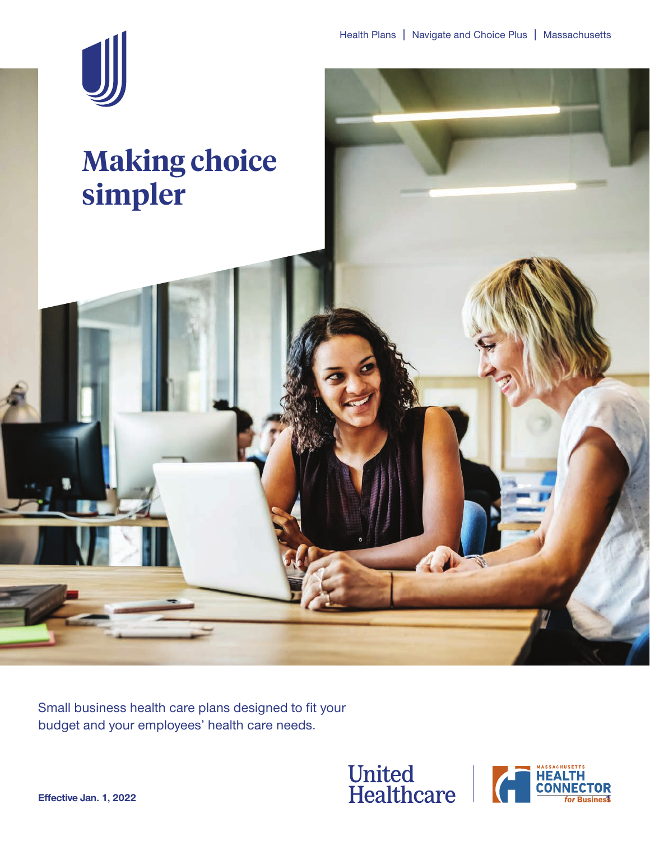

# **Making choice simpler**

Small business health care plans designed to fit your budget and your employees' health care needs.



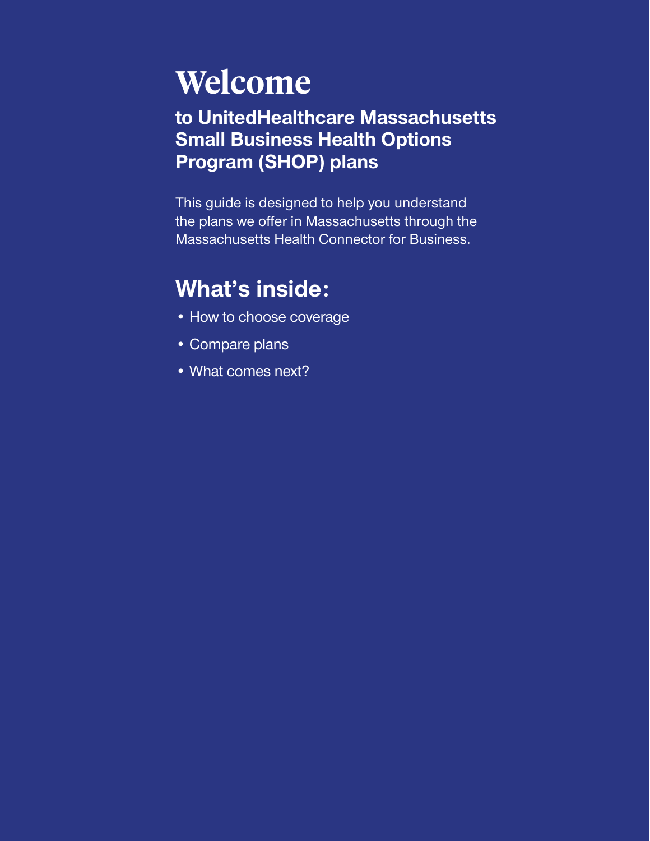# **Welcome**

# **to UnitedHealthcare Massachusetts Small Business Health Options Program (SHOP) plans**

This guide is designed to help you understand the plans we offer in Massachusetts through the Massachusetts Health Connector for Business.

# **What's inside:**

- How to choose coverage
- Compare plans
- What comes next?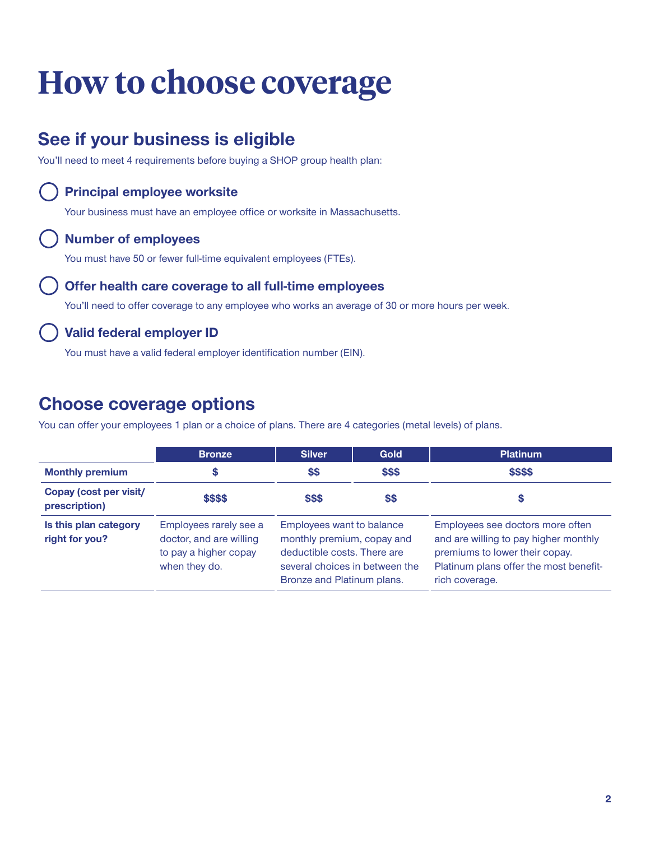# **How to choose coverage**

# **See if your business is eligible**

You'll need to meet 4 requirements before buying a SHOP group health plan:

### **Principal employee worksite**

Your business must have an employee office or worksite in Massachusetts.

### **Number of employees**

You must have 50 or fewer full-time equivalent employees (FTEs).

### **Offer health care coverage to all full-time employees**

You'll need to offer coverage to any employee who works an average of 30 or more hours per week.

### **Valid federal employer ID**

You must have a valid federal employer identification number (EIN).

# **Choose coverage options**

You can offer your employees 1 plan or a choice of plans. There are 4 categories (metal levels) of plans.

|                                         | <b>Bronze</b>                                                                               | <b>Silver</b>                                                                                                                                          | Gold   | <b>Platinum</b>                                                                                                                                                         |  |
|-----------------------------------------|---------------------------------------------------------------------------------------------|--------------------------------------------------------------------------------------------------------------------------------------------------------|--------|-------------------------------------------------------------------------------------------------------------------------------------------------------------------------|--|
| <b>Monthly premium</b>                  | S                                                                                           | \$\$                                                                                                                                                   | \$\$\$ | \$\$\$\$<br>S                                                                                                                                                           |  |
| Copay (cost per visit/<br>prescription) | \$\$\$\$                                                                                    | \$\$\$                                                                                                                                                 | \$\$   |                                                                                                                                                                         |  |
| Is this plan category<br>right for you? | Employees rarely see a<br>doctor, and are willing<br>to pay a higher copay<br>when they do. | Employees want to balance<br>monthly premium, copay and<br>deductible costs. There are<br>several choices in between the<br>Bronze and Platinum plans. |        | Employees see doctors more often<br>and are willing to pay higher monthly<br>premiums to lower their copay.<br>Platinum plans offer the most benefit-<br>rich coverage. |  |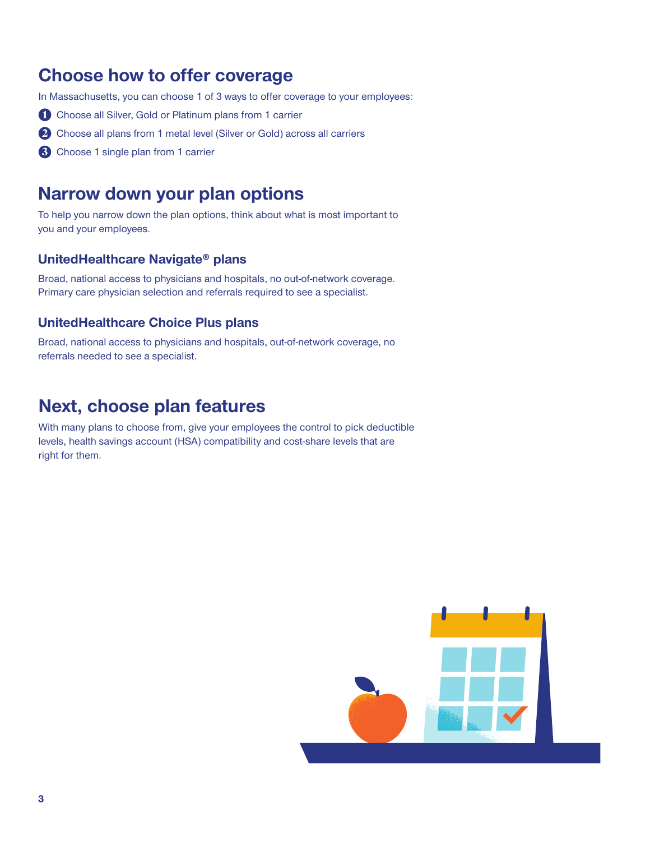# **Choose how to offer coverage**

In Massachusetts, you can choose 1 of 3 ways to offer coverage to your employees:

- **1** Choose all Silver, Gold or Platinum plans from 1 carrier
- **2** Choose all plans from 1 metal level (Silver or Gold) across all carriers
- **3** Choose 1 single plan from 1 carrier

### **Narrow down your plan options**

To help you narrow down the plan options, think about what is most important to you and your employees.

### **UnitedHealthcare Navigate® plans**

Broad, national access to physicians and hospitals, no out-of-network coverage. Primary care physician selection and referrals required to see a specialist.

### **UnitedHealthcare Choice Plus plans**

Broad, national access to physicians and hospitals, out-of-network coverage, no referrals needed to see a specialist.

### **Next, choose plan features**

With many plans to choose from, give your employees the control to pick deductible levels, health savings account (HSA) compatibility and cost-share levels that are right for them.

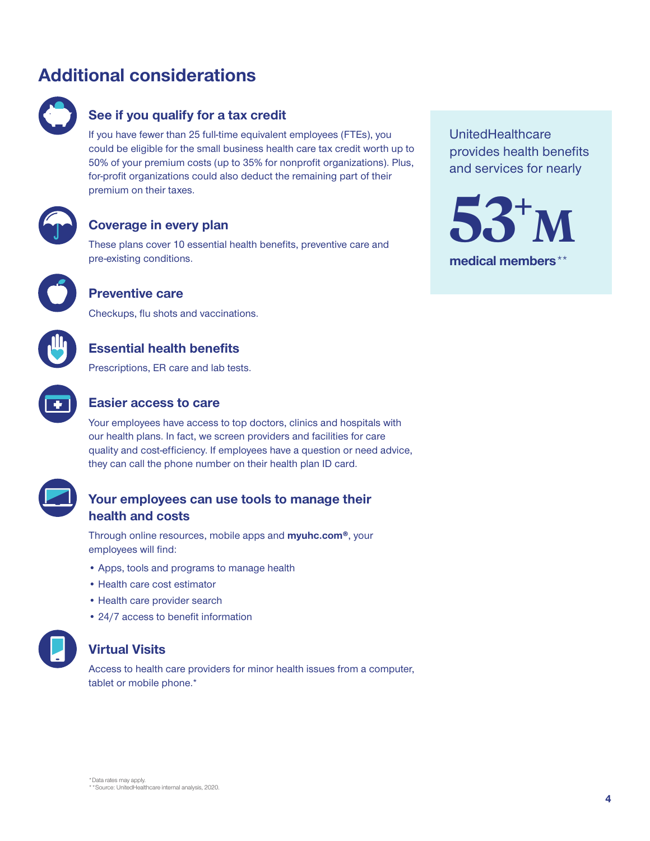# **Additional considerations**



### **See if you qualify for a tax credit**

If you have fewer than 25 full-time equivalent employees (FTEs), you could be eligible for the small business health care tax credit worth up to 50% of your premium costs (up to 35% for nonprofit organizations). Plus, for-profit organizations could also deduct the remaining part of their premium on their taxes.



### **Coverage in every plan**

These plans cover 10 essential health benefits, preventive care and pre-existing conditions.



### **Preventive care**

Checkups, flu shots and vaccinations.



Prescriptions, ER care and lab tests.



### **Easier access to care**

Your employees have access to top doctors, clinics and hospitals with our health plans. In fact, we screen providers and facilities for care quality and cost-efficiency. If employees have a question or need advice, they can call the phone number on their health plan ID card.

### **Your employees can use tools to manage their health and costs**

Through online resources, mobile apps and **[myuhc.com®](https://www.myuhc.com)**, your employees will find:

- Apps, tools and programs to manage health
- Health care cost estimator
- Health care provider search
- 24/7 access to benefit information



### **Virtual Visits**

Access to health care providers for minor health issues from a computer, tablet or mobile phone.\*

UnitedHealthcare provides health benefits and services for nearly

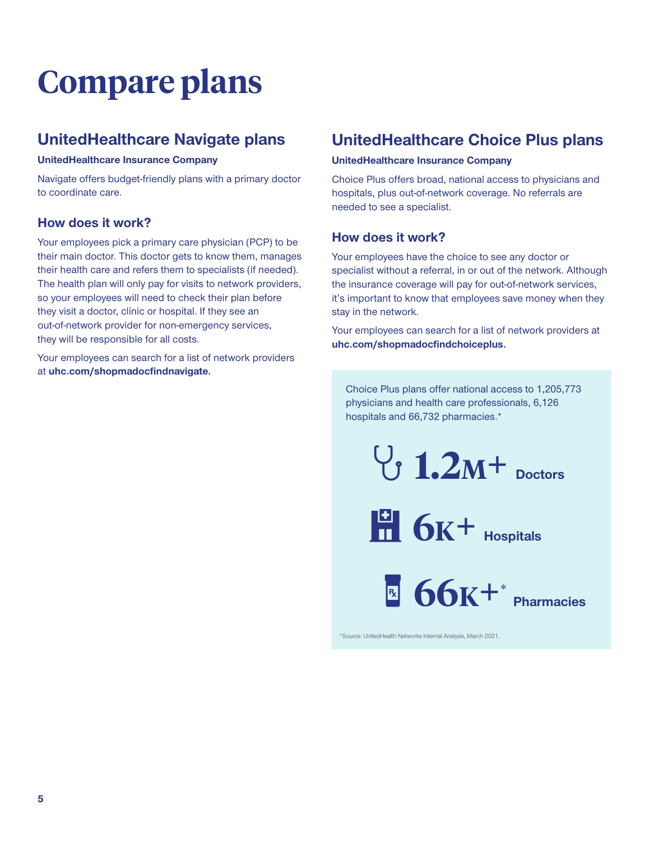# **Compare plans**

## **UnitedHealthcare Navigate plans**

#### **UnitedHealthcare Insurance Company**

Navigate offers budget-friendly plans with a primary doctor to coordinate care.

### **How does it work?**

Your employees pick a primary care physician (PCP) to be their main doctor. This doctor gets to know them, manages their health care and refers them to specialists (if needed). The health plan will only pay for visits to network providers, so your employees will need to check their plan before they visit a doctor, clinic or hospital. If they see an out-of-network provider for non-emergency services, they will be responsible for all costs.

Your employees can search for a list of network providers at **[uhc.com/shopmadocfindnavigate](https://www.uhc.com/shopmadocfindnavigate).** 

## **UnitedHealthcare Choice Plus plans**

#### **UnitedHealthcare Insurance Company**

Choice Plus offers broad, national access to physicians and hospitals, plus out-of-network coverage. No referrals are needed to see a specialist.

### **How does it work?**

Your employees have the choice to see any doctor or specialist without a referral, in or out of the network. Although the insurance coverage will pay for out-of-network services, it's important to know that employees save money when they stay in the network.

Your employees can search for a list of network providers at **[uhc.com/shopmadocfindchoiceplus.](https://www.uhc.com/shopmadocfindchoiceplus)** 

Choice Plus plans offer national access to 1,205,773

physicians and health care professionals, 6,126 hospitals and 66,732 pharmacies.\*  $\begin{bmatrix} 1.2M + 0.2M \end{bmatrix}$ **6k**<sup>+</sup> **Hospitals** 

> **66k+ Pharmacies \***

\*Source: UnitedHealth Networks Internal Analysis, March 2021.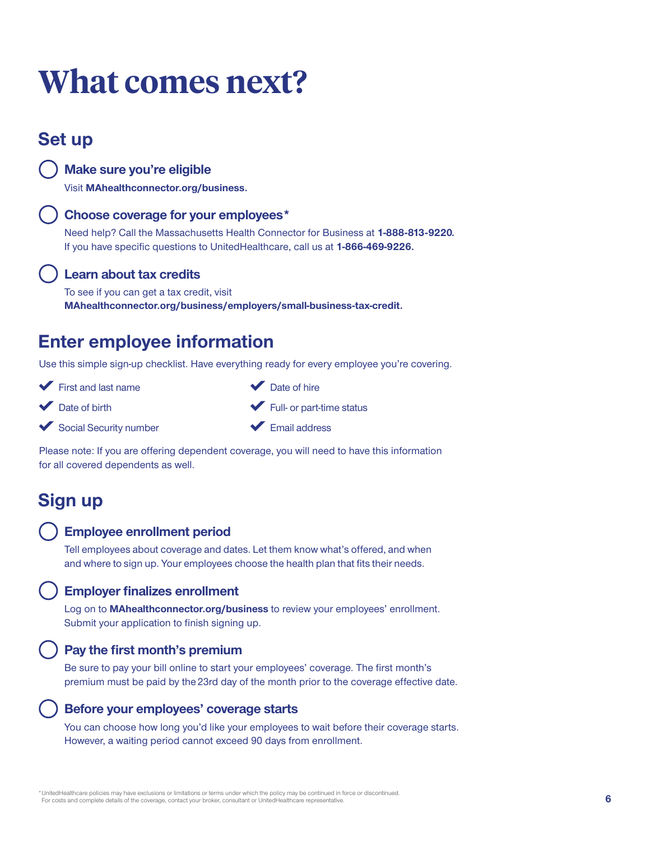# **What comes next?**

# **Set up**

**Make sure you're eligible** 

Visit **[MAhealthconnector.org/business](https://www.MAhealthconnector.org/business).** 

### **Choose coverage for your employees \***

Need help? Call the Massachusetts Health Connector for Business at **1-888-813-9220.** If you have specific questions to UnitedHealthcare, call us at **1-866-469-9226.** 

### **Learn about tax credits**

To see if you can get a tax credit, visit **[MAhealthconnector.org/business/employers/small-business-tax-credit.](https://www.MAhealthconnector.org/business/employers/small-business-tax-credit)** 

# **Enter employee information**

Use this simple sign-up checklist. Have everything ready for every employee you're covering.

- First and last name
- Date of birth
- Social Security number
- Date of hire Full- or part-time status
- Email address

Please note: If you are offering dependent coverage, you will need to have this information for all covered dependents as well.

# **Sign up**

### **Employee enrollment period**

Tell employees about coverage and dates. Let them know what's offered, and when and where to sign up. Your employees choose the health plan that fits their needs.

### **Employer finalizes enrollment**

Log on to **[MAhealthconnector.org/business](https://www.MAhealthconnector.org/business)** to review your employees' enrollment. Submit your application to finish signing up.

### **Pay the first month's premium**

Be sure to pay your bill online to start your employees' coverage. The first month's premium must be paid by the 23rd day of the month prior to the coverage effective date.

### **Before your employees' coverage starts**

You can choose how long you'd like your employees to wait before their coverage starts. However, a waiting period cannot exceed 90 days from enrollment.

\*UnitedHealthcare policies may have exclusions or limitations or terms under which the policy may be continued in force or discontinued. For costs and complete details of the coverage, contact your broker, consultant or UnitedHealthcare representative.